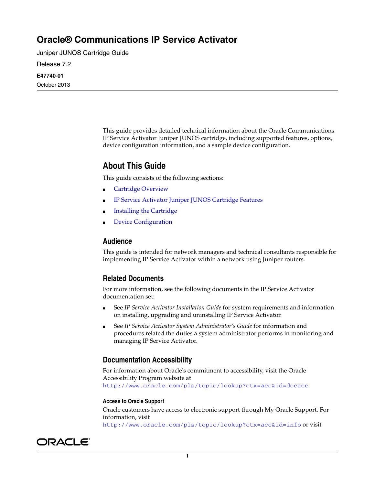# **Oracle® Communications IP Service Activator**

Juniper JUNOS Cartridge Guide

Release 7.2

#### **E47740-01**

October 2013

This guide provides detailed technical information about the Oracle Communications IP Service Activator Juniper JUNOS cartridge, including supported features, options, device configuration information, and a sample device configuration.

# **About This Guide**

This guide consists of the following sections:

- **[Cartridge Overview](#page-1-0)**
- [IP Service Activator Juniper JUNOS Cartridge Features](#page-1-1)
- **[Installing the Cartridge](#page-12-0)**
- [Device Configuration](#page-12-1)

#### **Audience**

This guide is intended for network managers and technical consultants responsible for implementing IP Service Activator within a network using Juniper routers.

### **Related Documents**

For more information, see the following documents in the IP Service Activator documentation set:

- See *IP Service Activator Installation Guide* for system requirements and information on installing, upgrading and uninstalling IP Service Activator.
- See *IP Service Activator System Administrator's Guide* for information and procedures related the duties a system administrator performs in monitoring and managing IP Service Activator.

### **Documentation Accessibility**

For information about Oracle's commitment to accessibility, visit the Oracle Accessibility Program website at http://www.oracle.com/pls/topic/lookup?ctx=acc&id=docacc.

#### **Access to Oracle Support**

Oracle customers have access to electronic support through My Oracle Support. For information, visit http://www.oracle.com/pls/topic/lookup?ctx=acc&id=info or visit

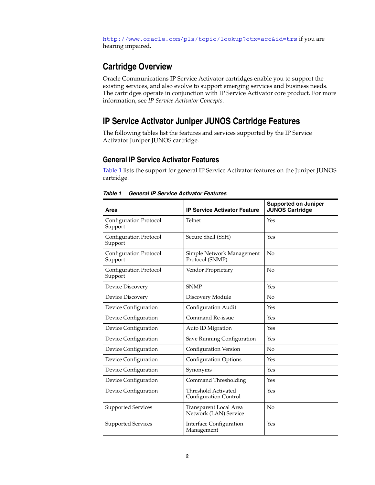http://www.oracle.com/pls/topic/lookup?ctx=acc&id=trs if you are hearing impaired.

# <span id="page-1-0"></span>**Cartridge Overview**

Oracle Communications IP Service Activator cartridges enable you to support the existing services, and also evolve to support emerging services and business needs. The cartridges operate in conjunction with IP Service Activator core product. For more information, see *IP Service Activator Concepts*.

# <span id="page-1-1"></span>**IP Service Activator Juniper JUNOS Cartridge Features**

The following tables list the features and services supported by the IP Service Activator Juniper JUNOS cartridge.

## **General IP Service Activator Features**

[Table 1](#page-1-2) lists the support for general IP Service Activator features on the Juniper JUNOS cartridge.

| Area                              | <b>IP Service Activator Feature</b>             | <b>Supported on Juniper</b><br><b>JUNOS Cartridge</b> |
|-----------------------------------|-------------------------------------------------|-------------------------------------------------------|
| Configuration Protocol<br>Support | Telnet                                          | Yes                                                   |
| Configuration Protocol<br>Support | Secure Shell (SSH)                              | Yes                                                   |
| Configuration Protocol<br>Support | Simple Network Management<br>Protocol (SNMP)    | No                                                    |
| Configuration Protocol<br>Support | Vendor Proprietary                              | No                                                    |
| Device Discovery                  | <b>SNMP</b>                                     | Yes                                                   |
| Device Discovery                  | Discovery Module                                | No                                                    |
| Device Configuration              | Configuration Audit                             | Yes                                                   |
| Device Configuration              | Command Re-issue                                | Yes                                                   |
| Device Configuration              | Auto ID Migration                               | Yes                                                   |
| Device Configuration              | Save Running Configuration                      | Yes                                                   |
| Device Configuration              | Configuration Version                           | $\overline{N}$                                        |
| Device Configuration              | <b>Configuration Options</b>                    | Yes                                                   |
| Device Configuration              | Synonyms                                        | Yes                                                   |
| Device Configuration              | Command Thresholding                            | Yes                                                   |
| Device Configuration              | Threshold Activated<br>Configuration Control    | Yes                                                   |
| Supported Services                | Transparent Local Area<br>Network (LAN) Service | $\overline{N}$                                        |
| Supported Services                | <b>Interface Configuration</b><br>Management    | Yes                                                   |

<span id="page-1-2"></span>*Table 1 General IP Service Activator Features*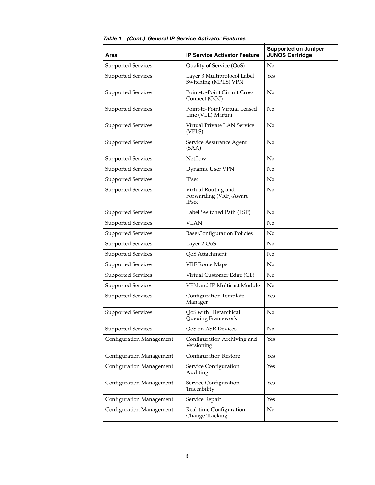| Area                            | <b>IP Service Activator Feature</b>                           | <b>Supported on Juniper</b><br><b>JUNOS Cartridge</b> |
|---------------------------------|---------------------------------------------------------------|-------------------------------------------------------|
| <b>Supported Services</b>       | Quality of Service (QoS)                                      | No                                                    |
| <b>Supported Services</b>       | Layer 3 Multiprotocol Label<br>Switching (MPLS) VPN           | Yes                                                   |
| Supported Services              | Point-to-Point Circuit Cross<br>Connect (CCC)                 | No                                                    |
| Supported Services              | Point-to-Point Virtual Leased<br>Line (VLL) Martini           | No                                                    |
| Supported Services              | Virtual Private LAN Service<br>(VPLS)                         | No                                                    |
| Supported Services              | Service Assurance Agent<br>(SAA)                              | No                                                    |
| Supported Services              | Netflow                                                       | No                                                    |
| Supported Services              | Dynamic User VPN                                              | No                                                    |
| Supported Services              | <b>IPsec</b>                                                  | No                                                    |
| Supported Services              | Virtual Routing and<br>Forwarding (VRF)-Aware<br><b>IPsec</b> | No                                                    |
| <b>Supported Services</b>       | Label Switched Path (LSP)                                     | No                                                    |
| Supported Services              | <b>VLAN</b>                                                   | No                                                    |
| Supported Services              | <b>Base Configuration Policies</b>                            | No                                                    |
| Supported Services              | Layer 2 QoS                                                   | N <sub>o</sub>                                        |
| Supported Services              | QoS Attachment                                                | No                                                    |
| Supported Services              | <b>VRF Route Maps</b>                                         | No                                                    |
| Supported Services              | Virtual Customer Edge (CE)                                    | No                                                    |
| Supported Services              | VPN and IP Multicast Module                                   | N <sub>o</sub>                                        |
| <b>Supported Services</b>       | Configuration Template<br>Manager                             | Yes                                                   |
| <b>Supported Services</b>       | QoS with Hierarchical<br>Queuing Framework                    | No                                                    |
| <b>Supported Services</b>       | QoS on ASR Devices                                            | No                                                    |
| <b>Configuration Management</b> | Configuration Archiving and<br>Versioning                     | Yes                                                   |
| Configuration Management        | <b>Configuration Restore</b>                                  | Yes                                                   |
| Configuration Management        | Service Configuration<br>Auditing                             | Yes                                                   |
| <b>Configuration Management</b> | Service Configuration<br>Traceability                         | Yes                                                   |
| Configuration Management        | Service Repair                                                | Yes                                                   |
| Configuration Management        | Real-time Configuration<br>Change Tracking                    | No                                                    |

*Table 1 (Cont.) General IP Service Activator Features*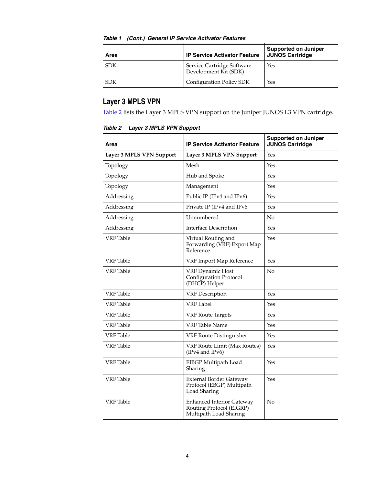| Area       | <b>IP Service Activator Feature</b>                 | Supported on Juniper<br><b>JUNOS Cartridge</b> |
|------------|-----------------------------------------------------|------------------------------------------------|
| <b>SDK</b> | Service Cartridge Software<br>Development Kit (SDK) | Yes                                            |
| <b>SDK</b> | Configuration Policy SDK                            | Yes                                            |

#### *Table 1 (Cont.) General IP Service Activator Features*

## **Layer 3 MPLS VPN**

[Table 2](#page-3-0) lists the Layer 3 MPLS VPN support on the Juniper JUNOS L3 VPN cartridge.

<span id="page-3-0"></span>

|  | Table 2 Layer 3 MPLS VPN Support |  |  |  |
|--|----------------------------------|--|--|--|
|--|----------------------------------|--|--|--|

| Area                     | <b>IP Service Activator Feature</b>                                                    | <b>Supported on Juniper</b><br><b>JUNOS Cartridge</b> |
|--------------------------|----------------------------------------------------------------------------------------|-------------------------------------------------------|
| Layer 3 MPLS VPN Support | Layer 3 MPLS VPN Support                                                               | Yes                                                   |
| Topology                 | Mesh                                                                                   | Yes                                                   |
| Topology                 | Hub and Spoke                                                                          | Yes                                                   |
| Topology                 | Management                                                                             | Yes                                                   |
| Addressing               | Public IP (IPv4 and IPv6)                                                              | Yes                                                   |
| Addressing               | Private IP (IPv4 and IPv6                                                              | Yes                                                   |
| Addressing               | Unnumbered                                                                             | No                                                    |
| Addressing               | <b>Interface Description</b>                                                           | Yes                                                   |
| <b>VRF</b> Table         | Virtual Routing and<br>Forwarding (VRF) Export Map<br>Reference                        | Yes                                                   |
| <b>VRF</b> Table         | VRF Import Map Reference                                                               | Yes                                                   |
| VRF Table                | <b>VRF Dynamic Host</b><br><b>Configuration Protocol</b><br>(DHCP) Helper              | No                                                    |
| <b>VRF</b> Table         | <b>VRF</b> Description                                                                 | Yes                                                   |
| VRF Table                | <b>VRF Label</b>                                                                       | Yes                                                   |
| <b>VRF</b> Table         | <b>VRF Route Targets</b>                                                               | Yes                                                   |
| <b>VRF</b> Table         | <b>VRF</b> Table Name                                                                  | Yes                                                   |
| VRF Table                | VRF Route Distinguisher                                                                | Yes                                                   |
| <b>VRF</b> Table         | <b>VRF Route Limit (Max Routes)</b><br>(IPv4 and IPv6)                                 | Yes                                                   |
| VRF Table                | EIBGP Multipath Load<br>Sharing                                                        | Yes                                                   |
| <b>VRF</b> Table         | External Border Gateway<br>Protocol (EBGP) Multipath<br>Load Sharing                   | Yes                                                   |
| VRF Table                | <b>Enhanced Interior Gateway</b><br>Routing Protocol (EIGRP)<br>Multipath Load Sharing | $\rm No$                                              |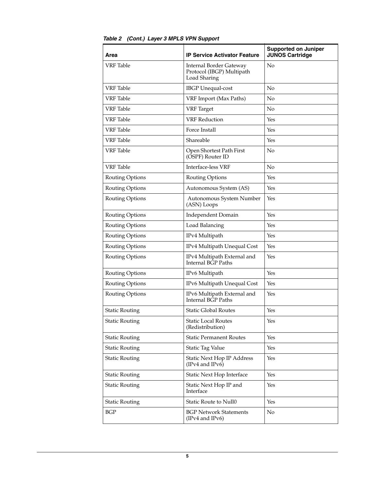| Area                  | <b>IP Service Activator Feature</b>                                  | <b>Supported on Juniper</b><br><b>JUNOS Cartridge</b> |
|-----------------------|----------------------------------------------------------------------|-------------------------------------------------------|
| VRF Table             | Internal Border Gateway<br>Protocol (IBGP) Multipath<br>Load Sharing | No                                                    |
| <b>VRF</b> Table      | <b>IBGP</b> Unequal-cost                                             | No                                                    |
| VRF Table             | VRF Import (Max Paths)                                               | No                                                    |
| VRF Table             | <b>VRF</b> Target                                                    | No                                                    |
| <b>VRF</b> Table      | <b>VRF</b> Reduction                                                 | Yes                                                   |
| <b>VRF</b> Table      | Force Install                                                        | Yes                                                   |
| VRF Table             | Shareable                                                            | Yes                                                   |
| VRF Table             | Open Shortest Path First<br>(OSPF) Router ID                         | No                                                    |
| <b>VRF</b> Table      | Interface-less VRF                                                   | No                                                    |
| Routing Options       | Routing Options                                                      | Yes                                                   |
| Routing Options       | Autonomous System (AS)                                               | Yes                                                   |
| Routing Options       | Autonomous System Number<br>(ASN) Loops                              | Yes                                                   |
| Routing Options       | <b>Independent Domain</b>                                            | Yes                                                   |
| Routing Options       | Load Balancing                                                       | Yes                                                   |
| Routing Options       | IPv4 Multipath                                                       | Yes                                                   |
| Routing Options       | IPv4 Multipath Unequal Cost                                          | Yes                                                   |
| Routing Options       | IPv4 Multipath External and<br>Internal BGP Paths                    | Yes                                                   |
| Routing Options       | IPv6 Multipath                                                       | Yes                                                   |
| Routing Options       | IPv6 Multipath Unequal Cost                                          | Yes                                                   |
| Routing Options       | IPv6 Multipath External and<br>Internal BGP Paths                    | Yes                                                   |
| <b>Static Routing</b> | <b>Static Global Routes</b>                                          | Yes                                                   |
| <b>Static Routing</b> | <b>Static Local Routes</b><br>(Redistribution)                       | Yes                                                   |
| <b>Static Routing</b> | <b>Static Permanent Routes</b>                                       | Yes                                                   |
| <b>Static Routing</b> | <b>Static Tag Value</b>                                              | Yes                                                   |
| <b>Static Routing</b> | Static Next Hop IP Address<br>(IPv4 and IPv6)                        | Yes                                                   |
| <b>Static Routing</b> | Static Next Hop Interface                                            | Yes                                                   |
| <b>Static Routing</b> | Static Next Hop IP and<br>Interface                                  | Yes                                                   |
| <b>Static Routing</b> | Static Route to Null0                                                | Yes                                                   |
| <b>BGP</b>            | <b>BGP Network Statements</b><br>(IPv4 and IPv6)                     | N <sub>o</sub>                                        |

*Table 2 (Cont.) Layer 3 MPLS VPN Support*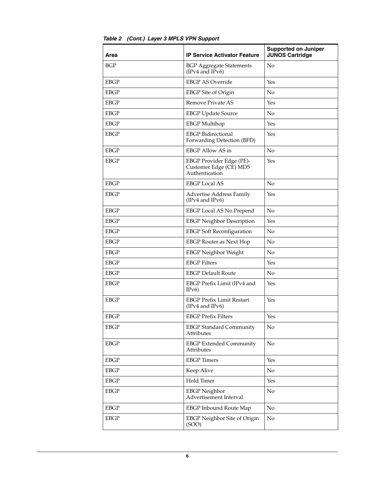| Area        | <b>IP Service Activator Feature</b>                                  | <b>Supported on Juniper</b><br><b>JUNOS Cartridge</b> |
|-------------|----------------------------------------------------------------------|-------------------------------------------------------|
| <b>BGP</b>  | <b>BGP Aggregate Statements</b><br>(IPv4 and IPv6)                   | No                                                    |
| <b>EBGP</b> | <b>EBGP AS Override</b>                                              | Yes                                                   |
| <b>EBGP</b> | <b>EBGP</b> Site of Origin                                           | No                                                    |
| <b>EBGP</b> | Remove Private AS                                                    | Yes                                                   |
| <b>EBGP</b> | <b>EBGP</b> Update Source                                            | No                                                    |
| <b>EBGP</b> | <b>EBGP</b> Multihop                                                 | Yes                                                   |
| <b>EBGP</b> | <b>EBGP</b> Bidirectional<br>Forwarding Detection (BFD)              | Yes                                                   |
| <b>EBGP</b> | <b>EBGP Allow AS in</b>                                              | No                                                    |
| <b>EBGP</b> | EBGP Provider Edge (PE)-<br>Customer Edge (CE) MD5<br>Authentication | Yes                                                   |
| <b>EBGP</b> | <b>EBGP</b> Local AS                                                 | No                                                    |
| <b>EBGP</b> | Advertise Address Family<br>(IPv4 and IPv6)                          | Yes                                                   |
| <b>EBGP</b> | EBGP Local AS No Prepend                                             | No                                                    |
| <b>EBGP</b> | <b>EBGP</b> Neighbor Description                                     | Yes                                                   |
| <b>EBGP</b> | <b>EBGP</b> Soft Reconfiguration                                     | No                                                    |
| <b>EBGP</b> | <b>EBGP</b> Router as Next Hop                                       | No                                                    |
| <b>EBGP</b> | <b>EBGP Neighbor Weight</b>                                          | No                                                    |
| EBGP        | <b>EBGP</b> Filters                                                  | Yes                                                   |
| <b>EBGP</b> | <b>EBGP Default Route</b>                                            | No                                                    |
| <b>EBGP</b> | EBGP Prefix Limit (IPv4 and<br>IPv6)                                 | Yes                                                   |
| <b>EBGP</b> | <b>EBGP Prefix Limit Restart</b><br>(IPv4 and IPv6)                  | Yes                                                   |
| EBGP        | <b>EBGP Prefix Filters</b>                                           | Yes                                                   |
| <b>EBGP</b> | <b>EBGP</b> Standard Community<br>Attributes                         | No                                                    |
| EBGP        | <b>EBGP</b> Extended Community<br><b>Attributes</b>                  | No                                                    |
| EBGP        | <b>EBGP</b> Timers                                                   | Yes                                                   |
| <b>EBGP</b> | Keep Alive                                                           | No                                                    |
| <b>EBGP</b> | Hold Timer                                                           | Yes                                                   |
| <b>EBGP</b> | <b>EBGP</b> Neighbor<br>Advertisement Interval                       | No                                                    |
| <b>EBGP</b> | <b>EBGP</b> Inbound Route Map                                        | No                                                    |
| <b>EBGP</b> | EBGP Neighbor Site of Origin<br>(SOO)                                | No                                                    |

*Table 2 (Cont.) Layer 3 MPLS VPN Support*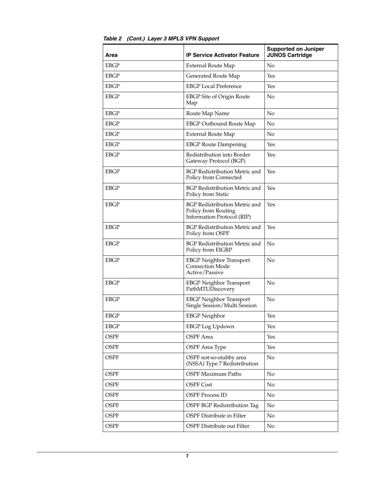| Area        | <b>IP Service Activator Feature</b>                                                       | <b>Supported on Juniper</b><br><b>JUNOS Cartridge</b> |
|-------------|-------------------------------------------------------------------------------------------|-------------------------------------------------------|
| <b>EBGP</b> | <b>External Route Map</b>                                                                 | No                                                    |
| EBGP        | Generated Route Map                                                                       | Yes                                                   |
| EBGP        | <b>EBGP</b> Local Preference                                                              | Yes                                                   |
| <b>EBGP</b> | EBGP Site of Origin Route<br>Map                                                          | No                                                    |
| <b>EBGP</b> | Route Map Name                                                                            | No                                                    |
| <b>EBGP</b> | <b>EBGP Outbound Route Map</b>                                                            | No                                                    |
| <b>EBGP</b> | <b>External Route Map</b>                                                                 | No                                                    |
| <b>EBGP</b> | <b>EBGP Route Dampening</b>                                                               | Yes                                                   |
| <b>EBGP</b> | Redistribution into Border<br>Gateway Protocol (BGP)                                      | Yes                                                   |
| <b>EBGP</b> | BGP Redistribution Metric and<br>Policy from Connected                                    | Yes                                                   |
| <b>EBGP</b> | BGP Redistribution Metric and<br>Policy from Static                                       | Yes                                                   |
| EBGP        | <b>BGP Redistribution Metric and</b><br>Policy from Routing<br>Information Protocol (RIP) | Yes                                                   |
| <b>EBGP</b> | <b>BGP Redistribution Metric and</b><br>Policy from OSPF                                  | Yes                                                   |
| <b>EBGP</b> | <b>BGP Redistribution Metric and</b><br>Policy from EIGRP                                 | No                                                    |
| <b>EBGP</b> | <b>EBGP Neighbor Transport</b><br><b>Connection Mode</b><br>Active/Passive                | No                                                    |
| <b>EBGP</b> | <b>EBGP Neighbor Transport</b><br>PathMTUDiscovery                                        | No                                                    |
| <b>EBGP</b> | <b>EBGP Neighbor Transport</b><br>Single Session/Multi Session                            | No                                                    |
| EBGP        | <b>EBGP</b> Neighbor                                                                      | Yes                                                   |
| EBGP        | <b>EBGP</b> Log Updown                                                                    | Yes                                                   |
| <b>OSPF</b> | <b>OSPF</b> Area                                                                          | Yes                                                   |
| <b>OSPF</b> | <b>OSPF</b> Area Type                                                                     | Yes                                                   |
| <b>OSPF</b> | OSPF not-so-stubby area<br>(NSSA) Type 7 Redistribution                                   | No                                                    |
| <b>OSPF</b> | <b>OSPF Maximum Paths</b>                                                                 | No                                                    |
| <b>OSPF</b> | <b>OSPF Cost</b>                                                                          | No                                                    |
| <b>OSPF</b> | <b>OSPF Process ID</b>                                                                    | No                                                    |
| <b>OSPF</b> | OSPF BGP Redistribution Tag                                                               | No                                                    |
| <b>OSPF</b> | OSPF Distribute in Filter                                                                 | No                                                    |
| <b>OSPF</b> | OSPF Distribute out Filter                                                                | No                                                    |

### *Table 2 (Cont.) Layer 3 MPLS VPN Support*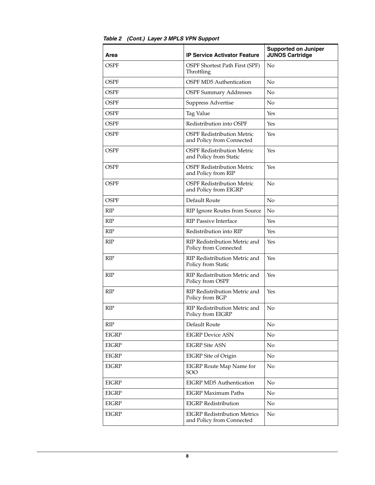| Area         | <b>IP Service Activator Feature</b>                              | <b>Supported on Juniper</b><br><b>JUNOS Cartridge</b> |
|--------------|------------------------------------------------------------------|-------------------------------------------------------|
| OSPF         | OSPF Shortest Path First (SPF)<br>Throttling                     | No                                                    |
| <b>OSPF</b>  | <b>OSPF MD5</b> Authentication                                   | No                                                    |
| <b>OSPF</b>  | <b>OSPF Summary Addresses</b>                                    | No                                                    |
| <b>OSPF</b>  | Suppress Advertise                                               | N <sub>o</sub>                                        |
| OSPF         | Tag Value                                                        | Yes                                                   |
| <b>OSPF</b>  | Redistribution into OSPF                                         | Yes                                                   |
| <b>OSPF</b>  | <b>OSPF Redistribution Metric</b><br>and Policy from Connected   | Yes                                                   |
| <b>OSPF</b>  | <b>OSPF Redistribution Metric</b><br>and Policy from Static      | Yes                                                   |
| <b>OSPF</b>  | <b>OSPF Redistribution Metric</b><br>and Policy from RIP         | Yes                                                   |
| <b>OSPF</b>  | <b>OSPF Redistribution Metric</b><br>and Policy from EIGRP       | No                                                    |
| <b>OSPF</b>  | Default Route                                                    | No                                                    |
| <b>RIP</b>   | RIP Ignore Routes from Source                                    | No                                                    |
| RIP          | <b>RIP Passive Interface</b>                                     | Yes                                                   |
| <b>RIP</b>   | Redistribution into RIP                                          | Yes                                                   |
| <b>RIP</b>   | RIP Redistribution Metric and<br>Policy from Connected           | Yes                                                   |
| <b>RIP</b>   | RIP Redistribution Metric and<br>Policy from Static              | Yes                                                   |
| RIP          | RIP Redistribution Metric and<br>Policy from OSPF                | Yes                                                   |
| <b>RIP</b>   | RIP Redistribution Metric and<br>Policy from BGP                 | Yes                                                   |
| <b>RIP</b>   | RIP Redistribution Metric and<br>Policy from EIGRP               | No                                                    |
| <b>RIP</b>   | Default Route                                                    | No                                                    |
| <b>EIGRP</b> | <b>EIGRP Device ASN</b>                                          | N <sub>o</sub>                                        |
| <b>EIGRP</b> | <b>EIGRP</b> Site ASN                                            | N <sub>o</sub>                                        |
| <b>EIGRP</b> | EIGRP Site of Origin                                             | No                                                    |
| <b>EIGRP</b> | EIGRP Route Map Name for<br><b>SOO</b>                           | No                                                    |
| EIGRP        | <b>EIGRP MD5 Authentication</b>                                  | No                                                    |
| <b>EIGRP</b> | <b>EIGRP Maximum Paths</b>                                       | N <sub>o</sub>                                        |
| <b>EIGRP</b> | <b>EIGRP</b> Redistribution                                      | No                                                    |
| <b>EIGRP</b> | <b>EIGRP Redistribution Metrics</b><br>and Policy from Connected | No                                                    |

*Table 2 (Cont.) Layer 3 MPLS VPN Support*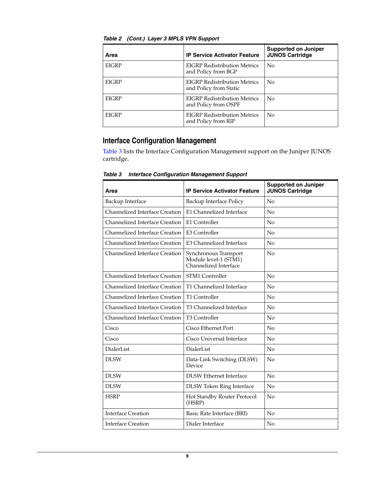| Area         | <b>IP Service Activator Feature</b>                           | <b>Supported on Juniper</b><br><b>JUNOS Cartridge</b> |
|--------------|---------------------------------------------------------------|-------------------------------------------------------|
| <b>EIGRP</b> | <b>EIGRP Redistribution Metrics</b><br>and Policy from BGP    | No                                                    |
| <b>EIGRP</b> | <b>EIGRP Redistribution Metrics</b><br>and Policy from Static | No                                                    |
| <b>EIGRP</b> | EIGRP Redistribution Metrics<br>and Policy from OSPF          | No                                                    |
| <b>EIGRP</b> | <b>EIGRP Redistribution Metrics</b><br>and Policy from RIP    | No                                                    |

*Table 2 (Cont.) Layer 3 MPLS VPN Support*

## **Interface Configuration Management**

[Table 3](#page-8-0) lists the Interface Configuration Management support on the Juniper JUNOS cartridge.

| Area                                  | <b>IP Service Activator Feature</b>                                     | <b>Supported on Juniper</b><br><b>JUNOS Cartridge</b> |
|---------------------------------------|-------------------------------------------------------------------------|-------------------------------------------------------|
| Backup Interface                      | Backup Interface Policy                                                 | No                                                    |
| Channelized Interface Creation        | E1 Channelized Interface                                                | No                                                    |
| Channelized Interface Creation        | E1 Controller                                                           | No                                                    |
| <b>Channelized Interface Creation</b> | E3 Controller                                                           | No                                                    |
| Channelized Interface Creation        | E3 Channelized Interface                                                | No                                                    |
| Channelized Interface Creation        | Synchronous Transport<br>Module level-1 (STM1)<br>Channelized Interface | No                                                    |
| Channelized Interface Creation        | <b>STM1 Controller</b>                                                  | No                                                    |
| Channelized Interface Creation        | T1 Channelized Interface                                                | No                                                    |
| <b>Channelized Interface Creation</b> | T1 Controller                                                           | No                                                    |
| Channelized Interface Creation        | T3 Channelized Interface                                                | No                                                    |
| Channelized Interface Creation        | <b>T3 Controller</b>                                                    | No                                                    |
| Cisco                                 | Cisco Ethernet Port                                                     | No                                                    |
| Cisco                                 | Cisco Universal Interface                                               | No                                                    |
| <b>DialerList</b>                     | <b>DialerList</b>                                                       | No                                                    |
| <b>DLSW</b>                           | Data-Link Switching (DLSW)<br>Device                                    | No                                                    |
| <b>DLSW</b>                           | DLSW Ethernet Interface                                                 | No                                                    |
| <b>DLSW</b>                           | <b>DLSW</b> Token Ring Interface                                        | No                                                    |
| <b>HSRP</b>                           | Hot Standby Router Protocol<br>(HSRP)                                   | No                                                    |
| <b>Interface Creation</b>             | Basic Rate Interface (BRI)                                              | No                                                    |
| <b>Interface Creation</b>             | Dialer Interface                                                        | No                                                    |

<span id="page-8-0"></span>*Table 3 Interface Configuration Management Support*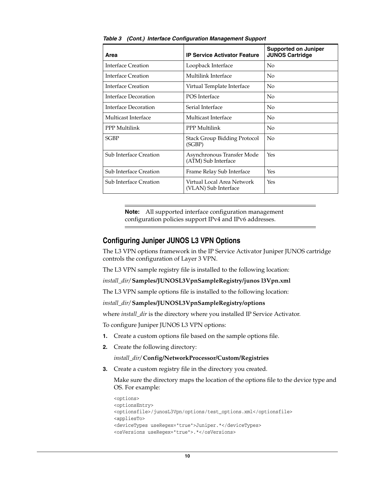| Area                          | <b>IP Service Activator Feature</b>                | <b>Supported on Juniper</b><br><b>JUNOS Cartridge</b> |
|-------------------------------|----------------------------------------------------|-------------------------------------------------------|
| <b>Interface Creation</b>     | Loopback Interface                                 | No                                                    |
| Interface Creation            | Multilink Interface                                | No                                                    |
| Interface Creation            | Virtual Template Interface                         | No                                                    |
| Interface Decoration          | POS Interface                                      | N <sub>0</sub>                                        |
| Interface Decoration          | Serial Interface                                   | No                                                    |
| Multicast Interface           | Multicast Interface                                | N <sub>0</sub>                                        |
| PPP Multilink                 | PPP Multilink                                      | No                                                    |
| <b>SGBP</b>                   | Stack Group Bidding Protocol<br>(SGBP)             | No                                                    |
| <b>Sub Interface Creation</b> | Asynchronous Transfer Mode<br>(ATM) Sub Interface  | Yes                                                   |
| <b>Sub Interface Creation</b> | Frame Relay Sub Interface                          | Yes                                                   |
| <b>Sub Interface Creation</b> | Virtual Local Area Network<br>(VLAN) Sub Interface | Yes                                                   |

*Table 3 (Cont.) Interface Configuration Management Support*

**Note:** All supported interface configuration management configuration policies support IPv4 and IPv6 addresses.

#### **Configuring Juniper JUNOS L3 VPN Options**

The L3 VPN options framework in the IP Service Activator Juniper JUNOS cartridge controls the configuration of Layer 3 VPN.

The L3 VPN sample registry file is installed to the following location:

*install\_dir/* **Samples/JUNOSL3VpnSampleRegistry/junos l3Vpn.xml**

The L3 VPN sample options file is installed to the following location:

*install\_dir/* **Samples/JUNOSL3VpnSampleRegistry/options**

where *install\_dir* is the directory where you installed IP Service Activator.

To configure Juniper JUNOS L3 VPN options:

- **1.** Create a custom options file based on the sample options file.
- **2.** Create the following directory:

*install\_dir/* **Config/NetworkProcessor/Custom/Registries** 

**3.** Create a custom registry file in the directory you created.

Make sure the directory maps the location of the options file to the device type and OS. For example:

```
<options>
<optionsEntry>
<optionsfile>/junosL3Vpn/options/test_options.xml</optionsfile>
<appliesTo>
<deviceTypes useRegex="true">Juniper.*</deviceTypes>
<osVersions useRegex="true">.*</osVersions>
```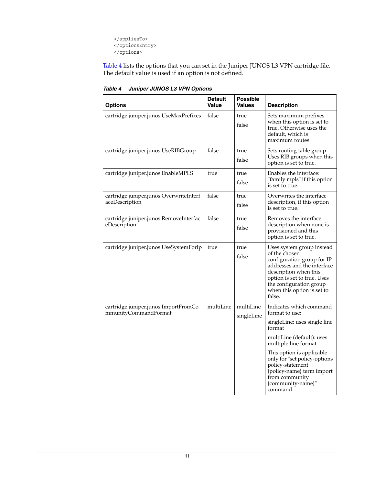</appliesTo> </optionsEntry> </options>

[Table 4](#page-10-0) lists the options that you can set in the Juniper JUNOS L3 VPN cartridge file. The default value is used if an option is not defined.

| <b>Options</b>                                               | <b>Default</b><br>Value | <b>Possible</b><br><b>Values</b> | <b>Description</b>                                                                                                                                                                                                                                     |
|--------------------------------------------------------------|-------------------------|----------------------------------|--------------------------------------------------------------------------------------------------------------------------------------------------------------------------------------------------------------------------------------------------------|
| cartridge.juniper.junos.UseMaxPrefixes                       | false                   | true<br>false                    | Sets maximum prefixes<br>when this option is set to<br>true. Otherwise uses the<br>default, which is<br>maximum routes.                                                                                                                                |
| cartridge.juniper.junos.UseRIBGroup                          | false                   | true<br>false                    | Sets routing table group.<br>Uses RIB groups when this<br>option is set to true.                                                                                                                                                                       |
| cartridge.juniper.junos.EnableMPLS                           | true                    | true<br>false                    | Enables the interface:<br>"family mpls" if this option<br>is set to true.                                                                                                                                                                              |
| cartridge.juniper.junos.OverwriteInterf<br>aceDescription    | false                   | true<br>false                    | Overwrites the interface<br>description, if this option<br>is set to true.                                                                                                                                                                             |
| cartridge.juniper.junos.RemoveInterfac<br>eDescription       | false                   | true<br>false                    | Removes the interface<br>description when none is<br>provisioned and this<br>option is set to true.                                                                                                                                                    |
| cartridge.juniper.junos.UseSystemForIp                       | true                    | true<br>false                    | Uses system group instead<br>of the chosen<br>configuration group for IP<br>addresses and the interface<br>description when this<br>option is set to true. Uses<br>the configuration group<br>when this option is set to<br>false.                     |
| cartridge.juniper.junos.ImportFromCo<br>mmunityCommandFormat | multiLine               | multiLine<br>singleLine          | Indicates which command<br>format to use:<br>singleLine: uses single line<br>format<br>multiLine (default): uses<br>multiple line format<br>This option is applicable<br>only for "set policy-options<br>policy-statement<br>{policy-name} term import |
|                                                              |                         |                                  | from community<br>{community-name}"<br>command.                                                                                                                                                                                                        |

<span id="page-10-0"></span>*Table 4 Juniper JUNOS L3 VPN Options*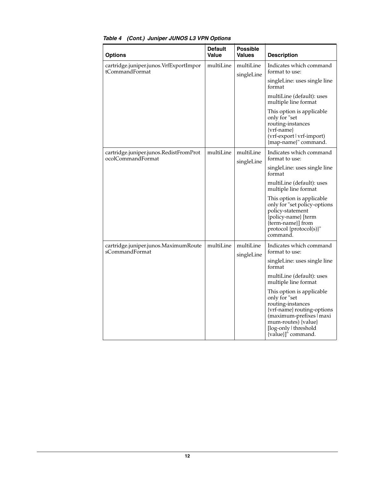| <b>Options</b>                                           | <b>Default</b><br>Value | <b>Possible</b><br><b>Values</b> | <b>Description</b>                                                                                                                                                                              |
|----------------------------------------------------------|-------------------------|----------------------------------|-------------------------------------------------------------------------------------------------------------------------------------------------------------------------------------------------|
| cartridge.juniper.junos.VrfExportImpor<br>tCommandFormat | multiLine               | multiLine<br>singleLine          | Indicates which command<br>format to use:                                                                                                                                                       |
|                                                          |                         |                                  | singleLine: uses single line<br>format                                                                                                                                                          |
|                                                          |                         |                                  | multiLine (default): uses<br>multiple line format                                                                                                                                               |
|                                                          |                         |                                  | This option is applicable<br>only for "set<br>routing-instances<br>$\{vrf\text{-name}\}$<br>(vrf-export   vrf-import)<br>{map-name}" command.                                                   |
| cartridge.juniper.junos.RedistFromProt                   | multiLine               | multiLine                        | Indicates which command                                                                                                                                                                         |
| ocolCommandFormat                                        |                         | singleLine                       | format to use:                                                                                                                                                                                  |
|                                                          |                         |                                  | singleLine: uses single line<br>format                                                                                                                                                          |
|                                                          |                         |                                  | multiLine (default): uses<br>multiple line format                                                                                                                                               |
|                                                          |                         |                                  | This option is applicable<br>only for "set policy-options<br>policy-statement<br>{policy-name} [term<br>{term-name}] from<br>protocol {protocol(s)}"<br>command.                                |
| cartridge.juniper.junos.MaximumRoute<br>sCommandFormat   | multiLine               | multiLine<br>singleLine          | Indicates which command                                                                                                                                                                         |
|                                                          |                         |                                  | format to use:<br>singleLine: uses single line                                                                                                                                                  |
|                                                          |                         |                                  | format                                                                                                                                                                                          |
|                                                          |                         |                                  | multiLine (default): uses<br>multiple line format                                                                                                                                               |
|                                                          |                         |                                  | This option is applicable<br>only for "set<br>routing-instances<br>{vrf-name} routing-options<br>(maximum-prefixes   maxi<br>mum-routes) {value}<br>[log-only   threshold<br>{value}]" command. |

### *Table 4 (Cont.) Juniper JUNOS L3 VPN Options*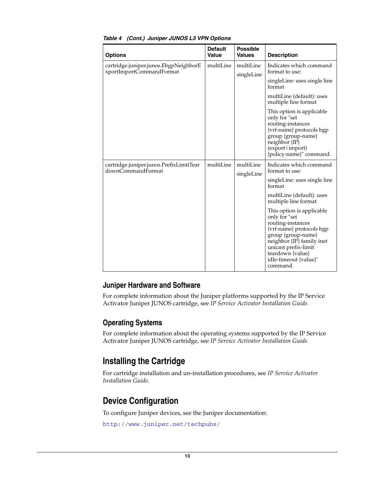| <b>Options</b>                                                    | <b>Default</b><br>Value | <b>Possible</b><br><b>Values</b> | <b>Description</b>                                                                                                                                                                                                               |
|-------------------------------------------------------------------|-------------------------|----------------------------------|----------------------------------------------------------------------------------------------------------------------------------------------------------------------------------------------------------------------------------|
| cartridge.juniper.junos.EbgpNeighborE<br>xportImportCommandFormat | multiLine               | multiLine<br>singleLine          | Indicates which command<br>format to use:                                                                                                                                                                                        |
|                                                                   |                         |                                  | singleLine: uses single line<br>format                                                                                                                                                                                           |
|                                                                   |                         |                                  | multiLine (default): uses<br>multiple line format                                                                                                                                                                                |
|                                                                   |                         |                                  | This option is applicable<br>only for "set<br>routing-instances<br>{vrf-name} protocols bgp<br>group {group-name}<br>neighbor {IP}<br>(export limport)<br>{policy-name}" command.                                                |
| cartridge.juniper.junos.PrefixLimitTear<br>downCommandFormat      | multiLine               | multiLine<br>singleLine          | Indicates which command<br>format to use:                                                                                                                                                                                        |
|                                                                   |                         |                                  | singleLine: uses single line<br>format                                                                                                                                                                                           |
|                                                                   |                         |                                  | multiLine (default): uses<br>multiple line format                                                                                                                                                                                |
|                                                                   |                         |                                  | This option is applicable.<br>only for "set<br>routing-instances<br>{vrf-name} protocols bgp<br>group {group-name}<br>neighbor {IP} family inet<br>unicast prefix-limit<br>teardown {value}<br>idle-timeout {value}"<br>command. |

#### *Table 4 (Cont.) Juniper JUNOS L3 VPN Options*

### **Juniper Hardware and Software**

For complete information about the Juniper platforms supported by the IP Service Activator Juniper JUNOS cartridge, see *IP Service Activator Installation Guide*.

## **Operating Systems**

For complete information about the operating systems supported by the IP Service Activator Juniper JUNOS cartridge, see *IP Service Activator Installation Guide*.

# <span id="page-12-0"></span>**Installing the Cartridge**

For cartridge installation and un-installation procedures, see *IP Service Activator Installation Guide*.

# <span id="page-12-1"></span>**Device Configuration**

To configure Juniper devices, see the Juniper documentation:

http://www.juniper.net/techpubs/